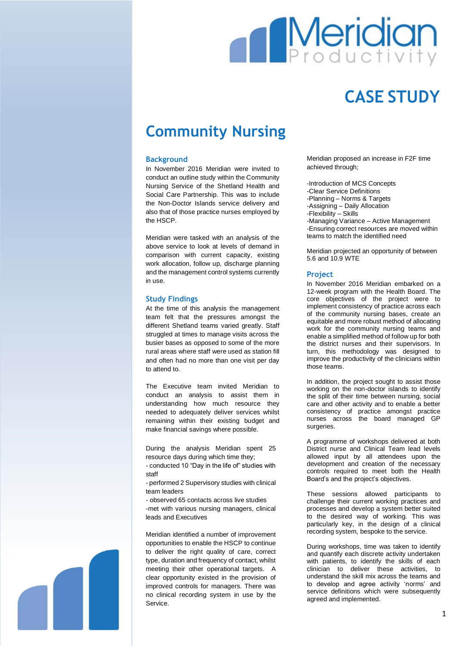

# **CASE STUDY**

## **Community Nursing**

#### **Background**

In November 2016 Meridian were invited to conduct an outline study within the Community Nursing Service of the Shetland Health and Social Care Partnership. This was to include the Non-Doctor Islands service delivery and also that of those practice nurses employed by the HSCP.

Meridian were tasked with an analysis of the above service to look at levels of demand in comparison with current capacity, existing work allocation, follow up, discharge planning and the management control systems currently in use.

#### **Study Findings**

At the time of this analysis the management team felt that the pressures amongst the different Shetland teams varied greatly. Staff struggled at times to manage visits across the busier bases as opposed to some of the more rural areas where staff were used as station fill and often had no more than one visit per day to attend to.

The Executive team invited Meridian to conduct an analysis to assist them in understanding how much resource they needed to adequately deliver services whilst remaining within their existing budget and make financial savings where possible.

During the analysis Meridian spent 25 resource days during which time they;

- conducted 10 "Day in the life of" studies with staff

- performed 2 Supervisory studies with clinical team leaders

- observed 65 contacts across live studies -met with various nursing managers, clinical leads and Executives

Meridian identified a number of improvement opportunities to enable the HSCP to continue to deliver the right quality of care, correct type, duration and frequency of contact, whilst meeting their other operational targets. A clear opportunity existed in the provision of improved controls for managers. There was no clinical recording system in use by the Service.

Meridian proposed an increase in F2F time achieved through;

-Introduction of MCS Concepts -Clear Service Definitions -Planning – Norms & Targets -Assigning – Daily Allocation -Flexibility – Skills -Managing Variance – Active Management -Ensuring correct resources are moved within teams to match the identified need

Meridian projected an opportunity of between 5.6 and 10.9 WTE

#### **Project**

In November 2016 Meridian embarked on a 12-week program with the Health Board. The core objectives of the project were to implement consistency of practice across each of the community nursing bases, create an equitable and more robust method of allocating work for the community nursing teams and enable a simplified method of follow up for both the district nurses and their supervisors. In turn, this methodology was designed to improve the productivity of the clinicians within those teams.

In addition, the project sought to assist those working on the non-doctor islands to identify the split of their time between nursing, social care and other activity and to enable a better consistency of practice amongst practice nurses across the board managed GP surgeries.

A programme of workshops delivered at both District nurse and Clinical Team lead levels allowed input by all attendees upon the development and creation of the necessary controls required to meet both the Health Board's and the project's objectives.

These sessions allowed participants to challenge their current working practices and processes and develop a system better suited to the desired way of working. This was particularly key, in the design of a clinical recording system, bespoke to the service.

During workshops, time was taken to identify and quantify each discrete activity undertaken with patients, to identify the skills of each clinician to deliver these activities, to understand the skill mix across the teams and to develop and agree activity 'norms' and service definitions which were subsequently agreed and implemented.